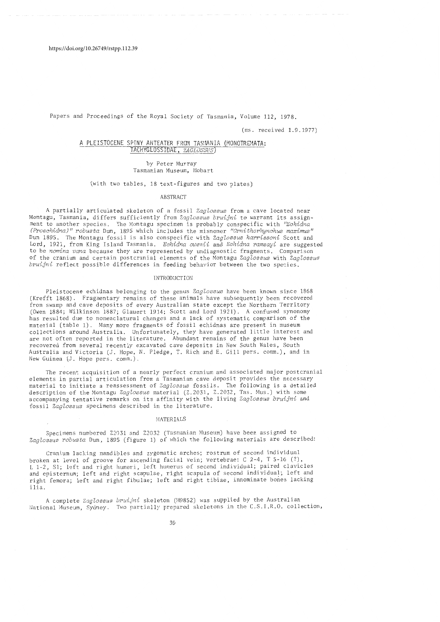Papers and Proceedings of the Royal Society of Tasmania, Volume 112, 1978.

(ms. received 1.9.1977)

# A PLEISTOCENE SPINY ANTEATER FROM TASMANIA (MONOTREMATA: TACHYGLOSSIDAE, *ZAGLOSSUS*

# by Peter Murray Tasmanian Museum, Hobart

(with two tables, 18 text-figures and two plates)

ABSTRACT

A partially articulated skeleton of a fossil *Zaglossus* from a cave located near Montagu, Tasmania, differs sufficiently from *Zaglossus bruijni* to warrant its assignment to another species. The Montagu specimen is probably conspecific with *"Echidna (Proechidna)" robusta* Dun, 1895 which includes the misnomer "Ornithorhynchus maximus" Dun 1895. The Montagu fossil is also conspecific with *Zaglossus harrissoni* Scott and Lord, 1921, from King Island Tasmania. *Echidna owenii* and *Echidna ramsayi* are suggested to be *nomina vana* because they are represented by undiagnostic fragments. Comparison of the cranium and certain postcranial elements of the Montagu Zaglossus with Zaglossus *bruijni* reflect possible differences in feeding behavior between the two species.

# INTRODUCTION

Pleistocene echidnas belonging to the genus *ZagZossus* have been known since 1868 (Krefft 1868). Fragmentary remains of these animals have subsequently been recovered from swamp and cave deposits of every Australian state except the Northern Territory (Owen 1884; Wilkinson 1887; Glauert 1914; Scott and Lord 1921). A confused synonomy has resulted due to nomenclatural changes and a lack of systematic comparison of the material (table 1). Many more fragments of fossil echidnas are present in museum collections around Australia. Unfortunately, they have generated little interest and are not often reported in the literature. Abundant remains of the genus have been recovered from several recently excavated cave deposits in New South Wales, South Australia and Victoria (J. Hope, N. Pledge, T. Rich and E. Gill pers. comm.), and in New Guinea (J. Hope pers. comm.).

The recent acquisition of a nearly perfect cranium and associated major postcranial elements in partial articulation from a Tasmanian cave deposit provides the necessary material to initiate a reassessment of *ZagZossus* fossils. The following is a detailed description of the Montagu *ZagZossus* material (Z.2031, Z.2032, Tas. Mus.) with some accompanying tentative remarks on its affinity with the living *ZagZossus bruijni* and fossil *ZagZossus* specimens described in the literature.

### **MATERIALS**

Specimens numbered Z203l and Z2032 (Tasmanian Museum) have been assigned to *ZagZossus robusta* Dun, 1895 (figure 1) of which the following materials are described:

Cranium lacking mandibles and zygomatic arches; rostrum of second individual broken at level of groove for ascending facial vein; vertebrae: C 2-4, T 5-16 (?), L 1-2, Sl; left and right humeri, left humerus of second individual; paired clavicles and episternum; left and right scapulae, right scapula of second individual; left and right femora; left and right fibulae; left and right tibiae, innominate bones lacking ilia.

A complete *ZagZossus bruijni* skeleton (M9852) was supplied by the Australian National Museum, Sydney. Two partially prepared skeletons in the C.S.I.R.O. collection,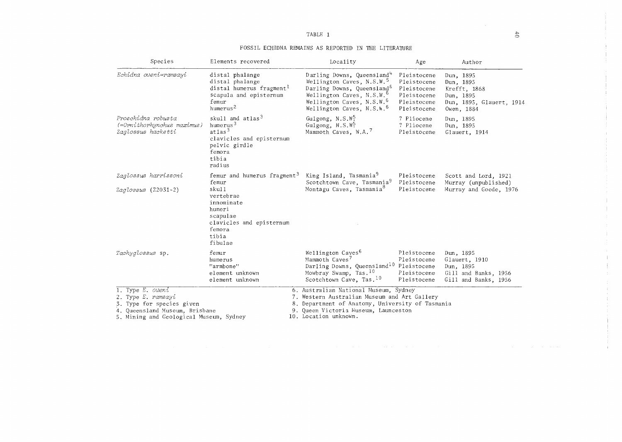# FOSSIL ECHIDNA REMAINS AS REPORTED IN THE LITERATURE

| Species                                                                                                                                                    | Elements recovered                                                                                                                             | Locality                                                                                                                                                                                                                                             | Age                                                                                    | Author                                                                                        |
|------------------------------------------------------------------------------------------------------------------------------------------------------------|------------------------------------------------------------------------------------------------------------------------------------------------|------------------------------------------------------------------------------------------------------------------------------------------------------------------------------------------------------------------------------------------------------|----------------------------------------------------------------------------------------|-----------------------------------------------------------------------------------------------|
| Echidna oweni=ramsayi                                                                                                                                      | distal phalange<br>distal phalange<br>distal humerus fragment <sup>1</sup><br>scapula and episternum<br>femur<br>humerus <sup>2</sup>          | Darling Downs, Queensland <sup>4</sup><br>Wellington Caves, N.S.W. <sup>5</sup><br>Darling Downs, Queensland <sup>6</sup><br>Wellington Caves, N.S.W. <sup>b</sup><br>Wellington Caves, N.S.W. <sup>b</sup><br>Wellington Caves, N.S.W. <sup>6</sup> | Pleistocene<br>Pleistocene<br>Pleistocene<br>Pleistocene<br>Pleistocene<br>Pleistocene | Dun, 1895<br>Dun, 1895<br>Krefft, 1868<br>Dun, 1895<br>Dun, 1895, Glauert, 1914<br>Owen, 1884 |
| Proechidna robusta<br>(=Ornithorhynchus maximus)<br>Zaglossus hacketti                                                                                     | skull and atlas <sup>3</sup><br>humerus <sup>3</sup><br>$at$ las $3$<br>clavicles and episternum<br>pelvic girdle<br>femora<br>tibia<br>radius | Gulgong, $N.S.W5$<br>Gulgong, N.S.W.<br>Mammoth Caves, W.A. <sup>7</sup>                                                                                                                                                                             | ? Pliocene<br>? Pliocene<br>Pleistocene                                                | Dun, 1895<br>Dun. 1895<br>Glauert, 1914                                                       |
| Zaglossus harrissoni                                                                                                                                       | femur and humerus fragment <sup>3</sup><br>femur                                                                                               | King Island, Tasmania <sup>9</sup><br>Scotchtown Cave, Tasmania <sup>9</sup>                                                                                                                                                                         | Pleistocene<br>Pleistocene                                                             | Scott and Lord, 1921<br>Murray (unpublished)                                                  |
| Zaglossus (Z2031-2)                                                                                                                                        | skull<br>vertebrae<br>innominate<br>humeri<br>scapulae<br>clavicles and episternum<br>femora<br>tibia<br>fibulae                               | Montagu Caves, Tasmania <sup>8</sup>                                                                                                                                                                                                                 | Pleistocene                                                                            | Murray and Goede, 1976                                                                        |
| Tachyglossus sp.                                                                                                                                           | femur<br>humerus<br>"armbone"<br>element unknown<br>element unknown                                                                            | Wellington Caves <sup>6</sup><br>Mammoth Caves <sup>7</sup><br>Darling Downs, Queensland <sup>10</sup> Pleistocene<br>Mowbray Swamp, Tas. <sup>10</sup><br>Scotchtown Cave, Tas. <sup>10</sup>                                                       | Pleistocene<br>Pleistocene<br>Pleistocene<br>Pleistocene                               | Dun, 1895<br>Glauert, 1910<br>Dun, 1895<br>Gill and Banks, 1956<br>Gill and Banks, 1956       |
| 1. Type $E$ . <i>oweni</i><br>2. Type E. ramsayi<br>3. Type for species given<br>4. Queensland Museum, Brisbane<br>5. Mining and Geological Museum, Sydney |                                                                                                                                                | 6. Australian National Museum, Sydney<br>7. Western Australian Museum and Art Gallery<br>8. Department of Anatomy, University of Tasmania<br>9. Queen Victoria Museum, Launceston<br>10. Location unknown.                                           |                                                                                        |                                                                                               |

÷. Ť.

 $\pm$ 

 $\sim$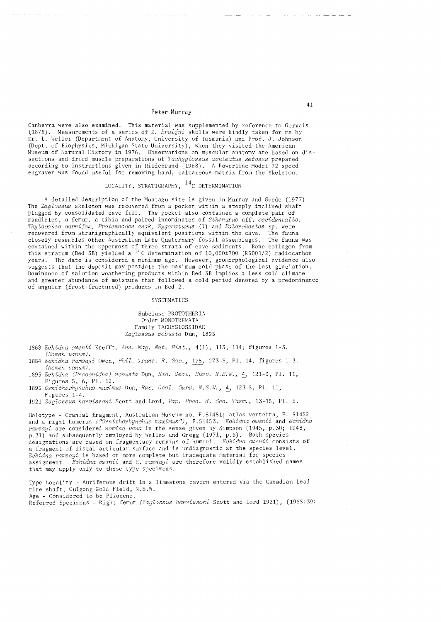Canberra were also examined. This material was supplemented by reference to Gervais (1878). Measurements of a series of Z. *bruijni* skulls were kindly taken for me by Dr. L. Weller (Department of Anatomy, University of Tasmania) and Prof. J. Johnson (Dept. of Biophysics, Michigan State University), when they visited the American Museum of Natural History in 1976. Observations on muscular anatomy are based on dissections and dried muscle preparations of *Tachyglossus aculeatus setosus* prepared according to instructions given in Hildebrand (1968). A Power line Model 72 speed engraver was found useful for removing hard, calcareous matrix from the skeleton.

# LOCALITY, STRATIGRAPHY,  $^{14}$ C DETERMINATION

A detailed description of the Montagu site is given in Murray and Goede (1977). The *Zaglossus* skeleton was recovered from a pocket within a steeply inclined shaft plugged by consolidated cave fill. The pocket also contained a complete pair of mandibles, a femur, a tibia and paired innominates of *Sthenwus* aff. *occidentalis. ThyZacoZeo carnifex, Protemnodon anak, Zygomaturus* (?) and *PaZorchestes* sp. were recovered from stratigraphically equivalent positions within the cave. The fauna closely resembles other Australian Late Quaternary fossil assemblages. The fauna was contained within the uppermost of three strata of cave sediments. Bone collagen from this stratum (Bed 3B) yielded a  $14C$  determination of 10,000±700 (R5001/2) radiocarbon years. The date is considered a minimum age. However, geomorphological evidence also suggests that the deposit may postdate the maximum cold phase of the last glaciation. Dominance of solution weathering products within Bed 3B implies a less cold climate and greater abundance of moisture that followed a cold period denoted by a predominance of angular (frost-fractured) products in Bed 2.

### SYSTEMATICS

Subclass PROTOTHERIA Order MONOTREMATA Family TACHYGLOSSIDAE *ZagZossus robusta* Dun, 1895

- *1868 Echidna owenii* Krefft, *Ann. Mag. Nat. Rist.,* ~(1), 113, 114; figures 1-3. *(Nomen vanum).*
- 1884 Echidna ramsayi Owen, *Phil. Trans. R. Soc.*, 175, 273-5, Pl. 14, figures 1-3. *(Nomen*
- *1895 Echidna (Proechidna) robusta* Dun, *Rec. GeoZ. SUY'v. N.S."I.,* ~, 121-3, Pl. 11, Figures 5, 6, Pl. 12.
- *1895 Ornithorhynchus maximus* Dun, *Rec. GeoZ. Surv. N.S.W.,* ~, 123-5, Pl. 11, Figures 1-4.
- *1921 ZagZossus harrissoni* Scott and Lord, *Pap. Proc. R. Soc. Tasm.,* 13-15, Pl. 5.

Holotype - Cranial fragment, Australian Museum no. F. 51451; atlas vertebra, F. 51452 and a right humerus *(IIOrnithorhynchus maximus"),* F.5l453. *Echidna owenii* and *Echidna ramsayi* are considered *nomina vana* in the sense given by Simpson (1945, p.30; 1948, p.31) and subsequently employed by Welles and Gregg (1971, p.6). Both species designations are based on fragmentary remains of humeri. Echidna owenii consists of a fragment of distal articular surface and is undiagnostic at the species level. Echidna ramsayi is based on more complete but inadequate material for species assignment. *Echidna owenii* and E. *ramsayi* are therefore validly established names that may apply only to these type specimens.

Type Locality - Auriferous drift in a limestone cavern entered via the Canadian Lead mine shaft, Gulgong Gold Field, N.S.W. Age - Considered to be Pliocene. Referred Specimens - Right femur *(ZagZossus harrissoni* Scott and Lord 1921), (1965:39: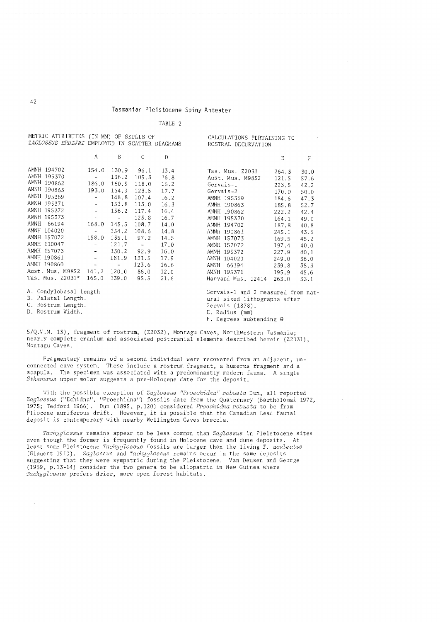TABLE 2

| MEIRIC BIIRIBUIES (IN MM) OF SKULLS OF<br>ZAGLOSSUS BRUIJNI EMPLOYED IN SCATTER DIAGRAMS |                          |                          |                         | CALCULATIONS PERTAINING TO<br>ROSTRAL DECURVATION |                                    |       |         |
|------------------------------------------------------------------------------------------|--------------------------|--------------------------|-------------------------|---------------------------------------------------|------------------------------------|-------|---------|
|                                                                                          | A                        | B                        | C                       | Đ                                                 |                                    | E     | $\rm F$ |
| AMNH 194702                                                                              | 154.0                    | 130.9                    | 96.1                    | 13.4                                              | Tas. Mus. Z2031                    | 264.3 | 30.0    |
| AMNH 195370                                                                              | $\frac{1}{2}$ .          | 136.2                    | 105.3                   | 16.8                                              | Aust. Mus. M9852                   | 121.5 | 57.6    |
| AMNH 190862                                                                              | 186.0                    | 160.5                    | 118.0                   | 16.2                                              | Gervais-1                          | 223.5 | 42.2    |
| AMNH 190863                                                                              | 193.0                    | 164.9                    | 123.5                   | 17.7                                              | Gervais-2                          | 170.0 | 50.0    |
| AMNH 195369                                                                              | $\blacksquare$           | 148.8                    | 107.4                   | 16.2                                              | AMNH 195369                        | 184.6 | 47.3    |
| AMNH 195371                                                                              | $\sim$                   | 151.8                    | 113.0                   | 16.3                                              | AMNH 190863                        | 185.8 | 52.7    |
| AMNH 195372                                                                              | $\overline{\phantom{a}}$ | 156.2                    | 117.4                   | 16.4                                              | AMNH 190862                        | 222.2 | 42.4    |
| AMNH 195373                                                                              | $\tilde{\phantom{a}}$    | $\overline{\phantom{a}}$ | 123.8                   | 16.7                                              | AMNH 195370                        | 164.1 | 49.0    |
| AMNH<br>66194                                                                            | 168.0                    | 145.5                    | 108.7                   | 14.0                                              | AMNH 194702                        | 187.8 | 40.8    |
| AMNH 104020                                                                              | $\overline{\phantom{a}}$ | 154.2                    | 108.6                   | 14.8                                              | AMNH 190861                        | 245.1 | 43.6    |
| AMNH 157072                                                                              | 158.0                    | 135.1                    | 97.2                    | 14.5                                              | AMNH 157073                        | 169.5 | 45.2    |
| AMNH 110047                                                                              | $\overline{\phantom{a}}$ | 121.7                    | $\sim 100$ km s $^{-1}$ | 17.0                                              | AMNH 157072                        | 197.4 | 40.0    |
| AMNH 157073                                                                              | $\overline{\phantom{a}}$ | 130.2                    | 92.9                    | 16.0                                              | AMNH 195372                        | 227.9 | 40.1    |
| AMNH 190861                                                                              | $\blacksquare$           | 181.9                    | 131.5                   | 17.9                                              | AMNH 104020                        | 249.0 | 36.0    |
| AMNH 190860                                                                              | $\overline{\phantom{a}}$ | $\overline{\phantom{a}}$ | 123.6                   | 16.6                                              | AMNH<br>66194                      | 239.8 | 35.3    |
| Aust. Mus. M9852                                                                         | 141.2                    | 120.0                    | 86.0                    | 12.0                                              | AMNH 195371                        | 195.9 | 45.6    |
| Tas. Mus. Z2031*                                                                         | 165.0                    | 139.0                    | 95.5                    | 21.6                                              | Harvard Mus. 12414                 | 263.0 | 33.1    |
| A. Condylobasal Length                                                                   |                          |                          |                         |                                                   | Gervais-1 and 2 measured from nat- |       |         |
| B. Palatal Length.                                                                       |                          |                          |                         | ural sized lithographs after                      |                                    |       |         |
| C. Rostrum Length.                                                                       |                          |                          |                         | Gervais (1878).                                   |                                    |       |         |
| D. Rostrum Width.                                                                        |                          |                          |                         | E. Radius (mm)                                    |                                    |       |         |

5/Q.V.M. 13), fragment of rostrum, (Z2032), Montagu Caves, Northwestern Tasmania; nearly complete cranium and associated postcranial elements described herein (Z2031), Montagu Caves.

F. Degrees subtending G

Fragmentary remains of a second individual were recovered from an adjacent, unconnected cave system. These include a rostrum fragment, a humerus fragment and a scapula. The specimen was associated with a predominantly modern fauna. A single *Sthenurus* upper molar suggests a pre-Holocene date for the deposit.

With the possible exception of *Zaglossus "Proechidna" robusta* Dun, all reported *ZagZossus* ("Echidna", "Proechidna") fossils date from the Quaternary (Bartholomai 1972, 1975; Tedford 1966). Dun (1895, p.120) considered *Proechidna robusta* to be from Pliocene auriferous drift. However, it is possible that the Canadian Lead faunal deposit is contemporary with nearby Wellington Caves breccia.

*TachygZossus* remains appear to be less common than *ZagZossus* in Pleistocene sites even though the former is frequently found in Holocene cave and dune deposits. At least some Pleistocene *Tachyglossus* fossils are larger than the living *T. aculeatus* (Glauert 1910). *ZagZossus* and *TachygZossus* remains occur in the same deposits suggesting that they were sympatric during the Pleistocene. Van Deusen and George (1969, p.13-14) consider the two genera to be allopatric in New Guinea where *TachygZossus* prefers drier, more open forest habitats.

42

METRIC ATTRIBUTES (IN MM) OF SKULLS OF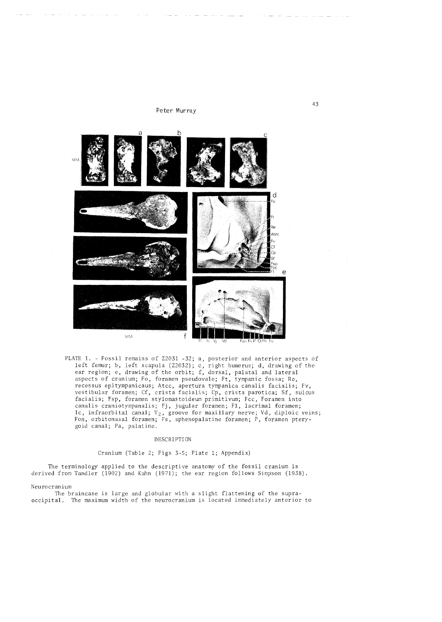

PLATE 1. - Fossil remains of Z2031 -32; a, posterior and anterior aspects of left femur; b, left scapula (Z2032); c, right humerus; d, drawing of the ear region; e, drawing of the orbit; f, dorsal, palatal and lateral aspects of cranium; Fo, foramen pseudovale; Ft, tympanic fossa; Re, recessus epitympanicaus; Atcc, apertura tympanica canalis facialis; Fv, vestibular foramen; Cf, crista facialis; Cp, crista parotica; Sf, sulcus facialis; Fsp, foramen stylomastoideum primitivum; Fcc, Foramen into canalis craniotympanalis; Fj, jugular foramen; FI, lacrimal foramen; Ic, infraorbital canal;  $V_2$ , groove for maxillary nerve; Vd, diploic veins; Fon, orbitonasal foramen; Fs, sphenopalatine foramen; P, foramen pterygoid canal; Pa, palatine.

### DESCRIPTION

# Cranium (Table 2; Figs 3-5; Plate 1; Appendix)

The terminology applied to the descriptive anatomy of the fossil cranium is derived from Tandler (1902) and Kuhn (1971); the ear region follows Simpson (1938).

#### Neurocranium

The braincase is large and globular with a slight flattening of the supraoccipital. The maximum width of the neurocranium is located immediately anterior to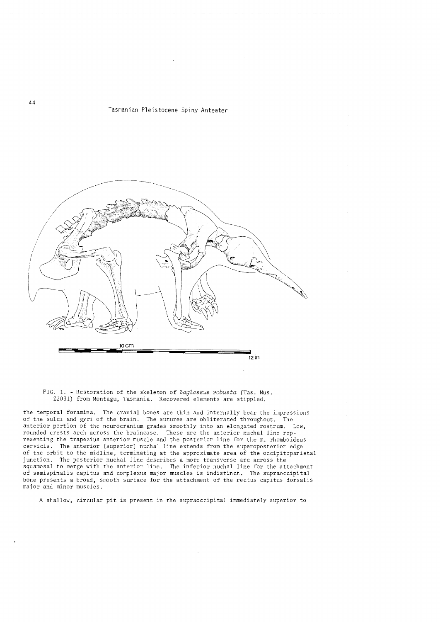

FIG. 1. - Restoration of the skeleton of *Zagtossus robusta* (Tas. Mus. Z2031) from Montagu, Tasmania. Recovered elements are stippled.

the temporal foramina. The cranial bones are thin and internally bear the impressions of the sulci and gyri of the brain. The sutures are obliterated throughout. The anterior portion of the neurocranium grades smoothly into an elongated rostrum. Low, rounded crests arch across the braincase. These are the anterior nuchal line representing the trapezius anterior muscle and the posterior line for the m. rhomboideus cervicis. The anterior (superior) nuchal line extends from the superoposterior edge The anterior (superior) nuchal line extends from the superoposterior edge of the orbit to the midline, terminating at the approximate area of the occipitoparietal junction. The posterior nuchal line describes a more transverse arc across the squamosal to merge with the anterior line. The inferior nuchal line for the attachment of semispinalis capitus and complexus major muscles is indistinct. The supraoccipital bone presents a broad, smooth surface for the attachment of the rectus capitus dorsalis major and minor muscles.

A shallow, circular pit is present in the supraoccipital immediately superior to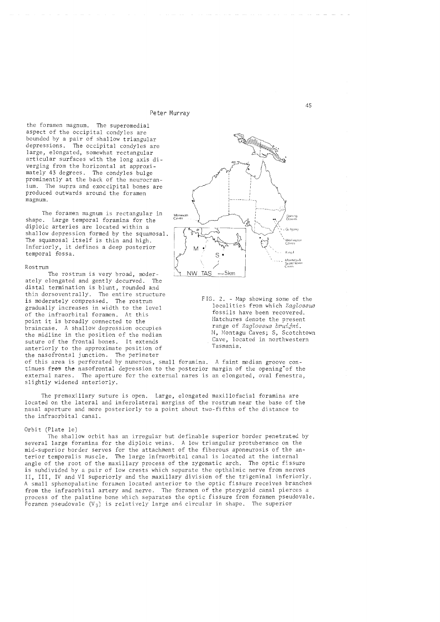the foramen magnum. The superomedial aspect of the occipital condyles are bounded by a pair of shallow triangular depressions. The occipital condyles are large, elongated, somewhat rectangular articular surfaces with the long axis diverging from the horizontal at approximately 43 degrees. The condyles bulge prominently at the back of the neurocranium. The supra and exoccipital bones are produced outwards around the foramen magnum.

The foramen magnum is rectangular in shape. Large temporal foramina for the diploic arteries are located within a shallow depression formed by the squamosal. The squamosal itself is thin and high. Inferiorly, it defines a deep posterior temporal fossa.

### Rostrum

The rostrum is very broad, moder-<br>elongated and gently decurved. The ately elongated and gently decurved. distal termination is blunt, rounded and thin dorsoventrally. The entire structure is moderately compressed. The rostrum gradually increases in width to the level of the infraorbital foramen. At this point it is broadly connected to the braincase. A shallow depression occupies the midline in the position of the median suture of the frontal bones. It extends anteriorly to the approximate position of the nasofrontal junction. The perimeter



FIG. 2. - Map showing some of the localities from which *ZagZossus*  fossils have been recovered. Hatchures denote the present range of *Zaglossus bruijni*. M, Montagu Caves; S, Scotchtown Cave, located in northwestern Tasmania.

of this area is perforated by numerous, small foramina. tinues from the nasofrontal depression to the posterior external nares. The aperture for the external nares is an elongated, oval fenestra, slightly widened anteriorly. A faint median groove conmargin of the opening"of the

The premaxillary suture is open. Large, elongated maxillofacial foramina are located on the lateral and inferolateral margins of the rostrum near the base of the nasal aperture and more posteriorly to a point about two-fifths of the distance to the infraorbital canal.

### Orbit (Plate Ie)

The shallow orbit has an irregular but definable superior border penetrated by several large foramina for the diploic veins. A low triangular protuberance on the mid-superior border serves for the attachment of the fiberous aponeurosis of the anterior temporalis muscle. The large infraorbital canal is located at the internal angle of the root of the maxillary process of the zygomatic arch. The optic fissure is subdivided by a pair of low crests which separate the opthalmic nerve from nerves II, III, IV and VI superiorly and the maxillary division of the trigeminal inferiorly. A small sphenopalatine foramen located anterior to the optic fissure receives branches from the infraorbital artery and nerve. The foramen of the pterygoid canal pierces a process of the palatine bone which separates the optic fissure from foramen pseudovale. Foramen pseudovale  $(V_3)$  is relatively large and circular in shape. The superior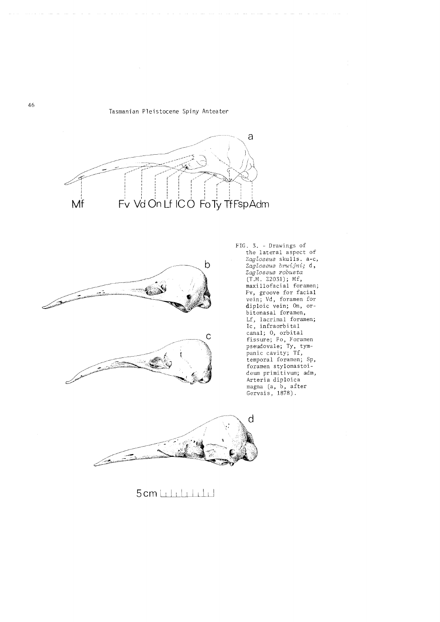





FIG. 3. - Drawings of the lateral aspect of *ZagZossus* skulls. a-c, *ZagZossus bruijni;* **d,**  *ZagZossus robusta*  (T.M. Z2031); Mf, maxillofacial foramen; Fv, groove for facial vein; Vd, foramen for diploic vein; On, orbitonasal foramen, Lf, lacrimal foramen; Ie, infraorbital canal; 0, orbital fissure; Fo, Foramen pseudova1e; Ty, tympanic cavity; Tf, temporal foramen; Sp, foramen sty1omastoideum primitivum; adm, Arteria dip10ica magna (a, b, after Gervais, 1878).



 $5$  cm  $\sqcup$  .  $\sqcup$  . In the  $\sqcup$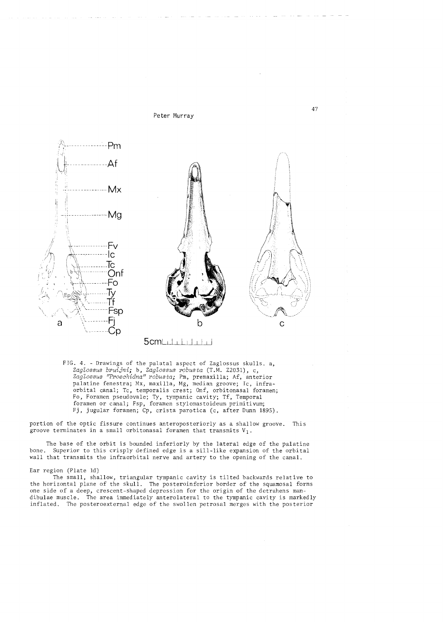

 $5$  cm  $\sqcup$   $\sqcup$   $\sqcup$   $\sqcup$   $\sqcup$ 

FIG. 4. - Drawings of the palatal aspect of Zaglossus skulls. a, *Zaglossus bruijni;* b, *Zaglossus robusta* (T.M. Z2031), c, Zaglossus "Proechidna" robusta; Pm, premaxilla; Af, anterior palatine fenestra; Mx, maxilla, Mg, median groove; Ic, infraorbital canal; Tc, temporalis crest; Onf, orbitonasal foramen; Fo, Foramen pseudovale; Ty, tympanic cavity; Tf, Temporal foramen or canal; Fsp, foramen stylomastoideum primitivum; Fj, jugular foramen; Cp, crista parotica (c, after Dunn 1895).

portion of the optic fissure continues anteroposteriorly as a shallow groove. This groove terminates in a small orbitonasal foramen that transmits  $V_1$ .

The base of the orbit is bounded inferiorly by the lateral edge of the palatine bone. Superior to this crisply defined edge is a sill-like expansion of the orbital wall that transmits the infraorbital nerve and artery to the opening of the canal.

# Ear region (Plate 1d)

The small, shallow, triangular tympanic cavity is tilted backwards relative to the horizontal plane of the skull. The posteroinferior border of the squamosal forms one side of a deep, crescent-shaped depression for the origin of the detrahens mandibulae muscle. The area immediately anterolateral to the tympanic cavity is markedly inflated. The posteroexternal edge of the swollen petrosal merges with the posterior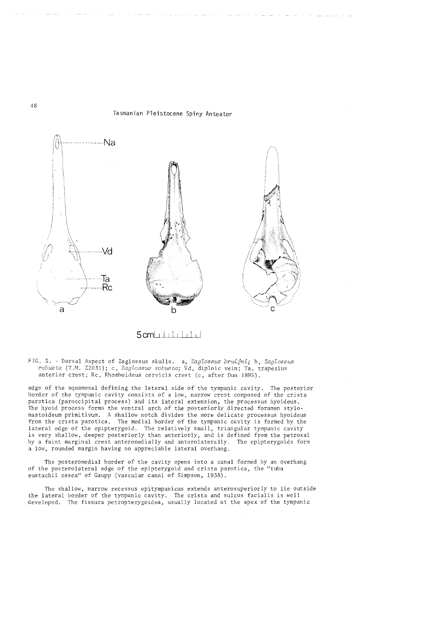

5 cmul I I I I I I I

FIG. 5. - Dorsal Aspect of Zaglossus skulls. a, *Zaglossus bruijni;* b, *Zaglossus robusta* (T .M. Z2031); c, *Zaglossus robusta;* Vd, diploic vein; Ta, trapezius anterior crest; Rc, Rhomboideus cervicis crest (c, after Dun 1895).

edge of the squamosal defining the lateral side of the tympanic cavity. The posterior border of the tympanic cavity consists of a low, narrow crest composed of the crista parotica (paroccipital process) and its lateral extension, the processus hyoideus. The hyoid process forms the ventral arch of the posteriorly directed foramen stylomastoideum primitivum. A shallow notch divides the more delicate processus hyoideus from the crista parotica. The medial border of the tympanic cavity is formed by the lateral edge of the epipterygoid. The relatively small, triangular tympanic cavity is very shallow, deeper posteriorly than anteriorly, and is defined from the petrosal<br>by a faint marginal crest anteromedially and anterolaterally. The epipterygoids form by a faint marginal crest anteromedially and anterolaterally. a low, rounded margin having no appreciable lateral overhang.

The posteromedial border of the cavity opens into a canal formed by an overhang of the posterolateral edge of the epipterygoid and crista parotica, the "tuba eustachii ossea" of Gaupp (vascular canal of Simpson, 1938).

The shallow, narrow recessus epitympanicus extends anterosuperior ly to lie outside the lateral border of the tympanic cavity. The crista and sulcus facialis is well developed. The fissura petropterygoidea, usually located at the apex of the tympanic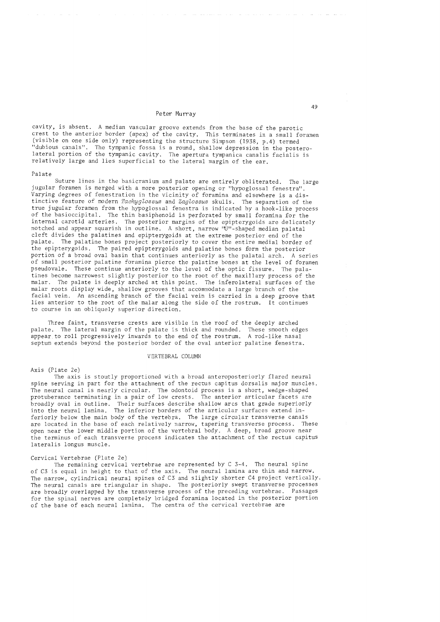cavity, is absent. A median vascular groove extends from the base of the parotic crest to the anterior border (apex) of the cavity. This terminates in a small foramen (visible on one side only) representing the structure Simpson (1938, p.4) termed "dubious canals". The tympanic fossa is a round, shallow depression in the posterolateral portion of the tympanic cavity. The apertura tympanica canalis facialis is relatively large and lies superficial to the lateral margin of the ear.

### Palate

Suture lines in the basicranium and palate are entirely obliterated. The large jugular foramen is merged with a more posterior opening or "hypoglossal fenestra". Varying degrees of fenestration in the vicinity of foramina and elsewhere is a distinctive feature of modern *TachygLossus* and *ZagLossus* skulls. The separation of the true jugular foramen from the hypoglossal fenestra is indicated by a hook-like process of the basioccipital. The thin basiphenoid is perforated by small foramina for the internal carotid arteries. The posterior margins of the epipterygoids are delicately notched and appear squarish in outline. A short, narrow ''U'' -shaped median palatal cleft divides the palatines and epipterygoids at the extreme posterior end of the palate. The palatine bones project posteriorly to cover the entire medial border of the epipterygoids. The paired epipterygoids and palatine bones form the posterior portion of a broad oval basin that continues anteriorly as the palatal arch. A series of small posterior palatine foramina pierce the palatine bones at the level of foramen pseudovale. These continue anteriorly to the level of the optic fissure. The palatines become narrowest slightly posterior to the root of the maxillary process of the malar. The palate is deeply arched at this point. The inferolateral surfaces of the malar roots display wide, shallow grooves that accommodate a large branch of the facial vein. An ascending branch of the facial vein is carried in a deep groove that lies anterior to the root of the malar along the side of the rostrum. It continues to course in an obliquely superior direction.

Three faint, transverse crests are visible in the roof of the deeply arched palate. The lateral margin of the palate is thick and rounded. These smooth edges appear to roll progressively inwards to the end of the rostrum. A rod-like nasal septum extends beyond the posterior border of the oval anterior palatine fenestra.

### VERTEBRAL COLUMN

### Axis (Plate Ze)

The axis is stoutly proportioned with a broad anteroposteriorly flared neural spine serving in part for the attachment of the rectus capitus dorsalis major muscles. The neural canal is nearly circular. The odontoid process is a short, wedge-shaped protuberance terminating in a pair of low crests. The anterior articular facets are broadly oval in outline. Their surfaces describe shallow arcs that grade superiorly into the neural lamina. The inferior borders of the articular surfaces extend inferiorly below the main body of the vertebra. The large circular transverse canals are located in the base of each relatively narrow, tapering transverse process. These open near the lower middle portion of the vertebral body. A deep, broad groove near the terminus of each transverse process indicates the attachment of the rectus capitus lateralis longus muscle.

### Cervical Vertebrae (Plate Ze)

The remaining cervical vertebrae are represented by C 3-4. The neural spine of C3 is equal in height to that of the axis. The neural lamina are thin and narrow. The narrow, cylindrical neural spines of C3 and slightly shorter C4 project vertically. The neural canals are triangular in shape. The posteriorly swept transverse processes are broadly overlapped by the transverse process of the preceding vertebrae. Passages for the spinal nerves are completely bridged foramina located in the posterior portion of the base of each neural lamina. The centra of the cervical vertebrae are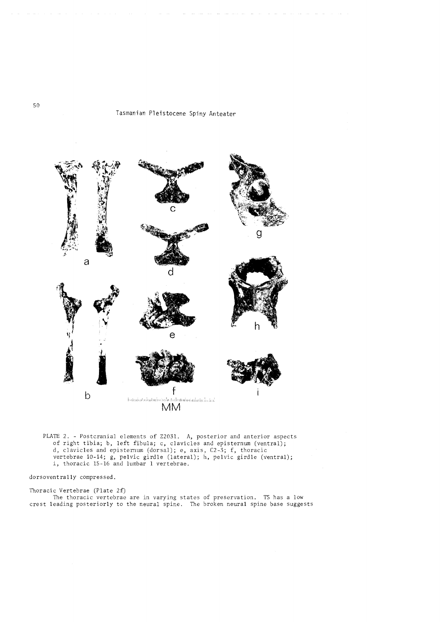

PLATE 2. - Postcranial elements of Z2031. A, posterior and anterior aspects of right tibia; b, left fibula; c, clavicles and episternum (ventral); d, clavicles and episternum (dorsal); e, axis, C2-3; f, thoracic vertebrae 10-14; g, pelvic girdle (lateral); h, pelvic girdle (ventral); i, thoracic 15-16 and lumbar 1 vertebrae.

dorsoventrally compressed.

Thoracic Vertebrae (Plate 2f) The thoracic vertebrae are in varying states of preservation. T5 has a low crest leading posteriorly to the neural spine. The broken neural spine base suggests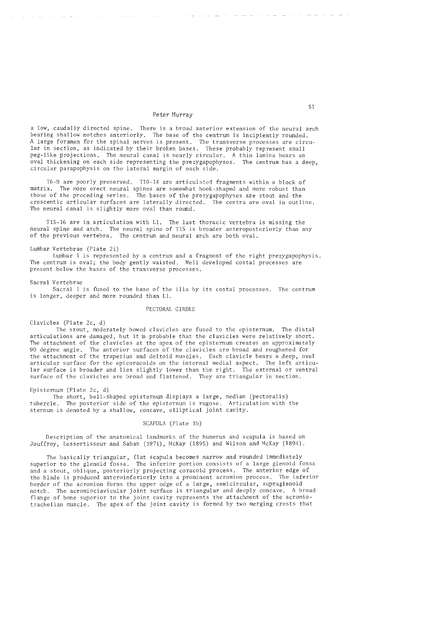a low, caudallY directed spine. There is a broad anterior extension of the neural arch bearing shallow notches anteriorly. The base of the centrum is incipiently rounded. A large foramen for the spinal nerves is present. The transverse processes are circular in section, as indicated by their broken bases. These probably represent small peg-like projections. The neural canal is nearly circular. A thin lamina bears an<br>oval thickening on each side representing the prezygapophyses. The centrum has a deep. oval thickening on each side representing the prezygapophyses. circular parapophysis on the lateral margin of each side.

*T6-9* are poorly preserved. TI0-14 are articulated fragments within a block of matrix. The more erect neural spines are somewhat hook-shaped and more robust than those of the preceding series. The bases of the prezygapophyses are stout and the crescentic articular surfaces are laterally directed. The centra are oval in outline. The neural canal is slightly more oval than round.

*T15-16* are in articulation with Ll. The last thoracic vertebra is missing the neural spine and arch. The neural spine of TIS is broader anteroposteriorly than any of the previous vertebra. The centrum and neural arch are both oval.

### Lumbar Vertebrae (Plate 2i)

Lumbar 1 is represented by a centrum and a fragment of the right prezygapophysis. The centrum is oval; the body gently waisted. Well developed costal processes are present below the bases of the transverse processes.

### Sacral Vertebrae

Sacral 1 is fused to the base of the ilia by its costal processes. The centrum is longer, deeper and more rounded than Ll.

### PECTORAL GIRDLE

Clavicles (Plate 2c, d)

The stout, moderately bowed clavicles are fused to the episternum. The distal articulations are damaged, but it is probable that the clavicles were relatively short. The attachment of the clavicles at the apex of the episternum creates an approximately 90 degree angle. The anterior surfaces of the clavicles are broad and roughened for the attachment of the trapezius and deltoid muscles. Each clavicle bears a deep, oval articular surface for the epicoracoids on the internal medial aspect. The left articular surface is broader and lies slightly lower than the right. The external or ventral surface of the clavicles are broad and flattened. They are triangular in section.

Episternum (Plate 2c, d)

The short, bell-shaped episternum displays a large, median (pectoralis) tubercle. The posterior side of the episternum is rugose. Articulation with The posterior side of the episternum is rugose. Articulation with the sternum is denoted by a shallow, concave, elliptical joint cavity.

# SCAPULA (Plate Ib)

Description of the anatomical landmarks of the humerus and scapula is based on Jouffroy, Lessertisseur and Saban (1971), McKay (1895) and Wilson and McKay (1894).

The basically triangular, flat scapula becomes narrow and rounded immediately superior to the glenoid fossa. The inferior portion consists of a large glenoid fossa and a stout, oblique, posteriorly projecting coracoid process. The anterior edge of the blade is produced anteroinferiorly into a prominent acromion process. The inferior border of the acromion forms the upper edge of a large, semicircular, supraglenoid notch. The acromioclavicular joint surface is triangular and deeply concave. A broad flange of bone superior to the joint cavity represents the attachment of the acromiotrachelian muscle. The apex of the joint cavity is formed by two merging crests that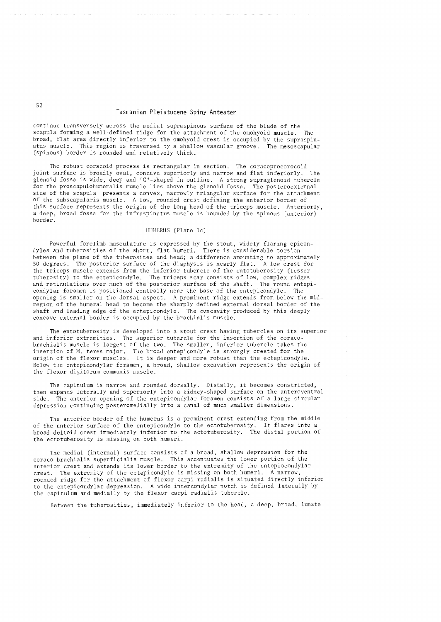continue transversely across the medial supraspinous surface of the blade of the<br>scapula forming a well-defined ridge for the attachment of the omohyoid muscle. The scapula forming a well-defined ridge for the attachment of the omohyoid muscle. broad, flat area directly inferior to the omohyoid crest is occupied by the supraspinatus muscle. This region is traversed by a shallow vascular groove. The mesoscapular (spinous) border is rounded and relatively thick.

The robust coracoid process is rectangular in section. The coracoprocorocoid joint surface is broadlY oval, concave superiorly and narrow and flat inferiorly. The glenoid fossa is wide, deep and "C"-shaped in outline. A strong supraglenoid tubercle for the proscapulohumera1is muscle lies above the glenoid fossa. The posteroexternal side of the scapula presents a convex, narrowly triangular surface for the attachment of the subscapularis muscle. A low, rounded crest defining the anterior border of this surface represents the origin of the long head of the triceps muscle. Anteriorly, a deep, broad fossa for the infraspinatus muscle is bounded by the spinous (anterior) border.

### HUHERUS (Plate Ic)

Powerful forelimb musculature is expressed by the stout, widely flaring epicondyies and tuberosities of the short, flat humeri. There is considerable torsion between the plane of the tuberosites and head; a difference amounting to approximately 50 degrees. The posterior surface of the diaphysis is nearly flat. A low crest for the triceps muscle extends from the inferior tubercle of the entotuberosity (lesser tuberosity) to the ectepicondyle. The triceps scar consists of low, complex ridges and reticulations over much of the posterior surface of the shaft. The round entepicondylar foramen is positioned centrally near the base of the entepicondyle. The opening is smaller on the dorsal aspect. A prominent ridge extends from below the midregion of the humeral head to become the sharply defined external dorsal border of the shaft and leading edge of the ectepicondyle. The concavity produced by this deeply concave external border is occupied by the brachialis muscle.

The entotuberosity is developed into a stout crest having tubercles on its superior and inferior extremities. The superior tubercle for the insertion of the coracobrachialis muscle is largest of the two. The smaller, inferior tubercle takes the insertion of M. teres major. The broad entepicondyle is strongly crested for the origin of the flexor muscles. It is deeper and more robust than the ectepicondyle. Below the entepicondylar foramen, a broad, shallow excavation represents the origin of the flexor digitorum communis muscle.

The capitulum is narrow and rounded dorsally. Distally, it becomes constricted, then expands laterally and superiorly into a kidney-shaped surface on the anteroventral side. The anterior opening of the entepicondylar foramen consists of a large circular depression continuing posteromedially into a canal of much smaller dimensions.

The anterior border of the humerus is a prominent crest extending from the middle of the anterior surface of the entepicondyle to the ectotuberosity. It flares into a broad deltoid crest immediately inferior to the ectotuberosity. The distal portion of the ectotuberosity is missing on both humeri.

The medial (internal) surface consists of a broad, shallow depression for the coraco-brachialis superficialis muscle. This accentuates the lower portion of the anterior crest and extends its lower border to the extremity of the entepiocondylar crest. The extremity of the ectepicondyle is missing on both humeri. A narrow, rounded ridge for the attachment of flexor carpi radialis is situated directly inferior to the entepicondylar depression. A wide intercondylar notch is defined laterally by the capitulum and medially by the flexor carpi radialis tubercle.

Between the tuberosities, immediately inferior to the head, a deep, broad, lunate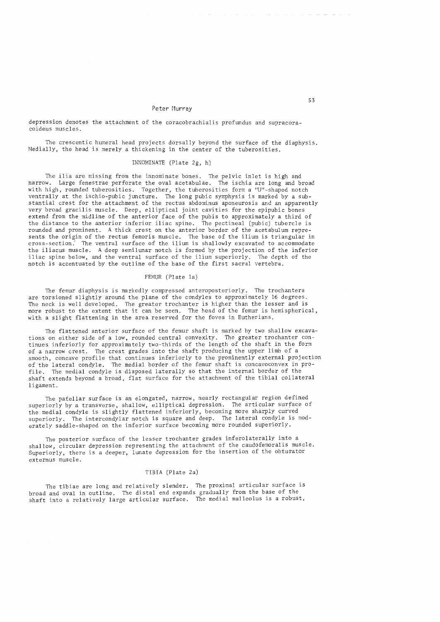depression denotes the attachment of the coracobrachialis profundus and supracoracoideus muscles.

The crescentic humeral head projects dorsally beyond the surface of the diaphysis. Medially, the head is merely a thickening in the center of the tuberosities.

# INNOMINATE (Plate Zg, h)

The ilia are missing from the innominate bones. The pelvic inlet is high and narrow. Large fenestrae perforate the oval acetabulae. The ischia are long and broad with high, rounded tuberosities. Together, the tuberosities form a "U"-shaped notch ventrally at the ischio-pubic juncture. The long pubic symphysis is marked by a substantial crest for the attachment of the rectus abdominus aponeurosis and an apparently very broad gracilis muscle. Deep, elliptical joint cavities for the epipubic bones extend from the midline of the anterior face of the pubis to approximately a third of the distance to the anterior inferior iliac spine. The pectineal (pubic) tubercle is rounded and prominent. A thick crest on the anterior border of the acetabulum represents the origin of the rectus femoris muscle. The base of the ilium is triangular in cross-section: The ventral surface of the ilium is shallowly excavated to accommodate the iliacus muscle. A deep semilunar notch is formed by the projection of the inferior iliac spine below, and the ventral surface of the ilium superiorly. The depth of the notch is accentuated by the outline of the base of the first sacral vertebra.

## FEMUR (Plate 1a)

The femur diaphysis is markedly compressed anteroposterior1y. The trochanters are torsioned slightly around the plane of the condyles to approximately 16 degrees. The neck is well developed. The greater trochanter is higher than the lesser and is more robust to the extent that it can be seen. The head of the femur is hemispherical, with a slight flattening in the area reserved for the fovea in Eutherians.

The flattened anterior surface of the femur shaft is marked by two shallow excavations on either side of a low, rounded central convexity. The greater trochanter continues inferiorly for approximately two-thirds of the length of the shaft in the form of a narrow crest. The crest grades into the shaft producing the upper limb of a smooth, concave profile that continues inferiorly to the prominently external projection of the lateral condyle. The medial border of the femur shaft is concavoconvex in profile. The medial condyle is disposed laterally so that the internal border of the shaft extends beyond a broad, flat surface for the attachment of the tibial collateral ligament.

The patellar surface is an elongated, narrow, nearly rectangular region defined superiorly by a transverse, shallow, elliptical depression. The articular surface of the medial condyle is slightly flattened inferiorly, becoming more sharply curved superiorly. The intercondylar notch is square and deep. The lateral condyle is moderately saddle-shaped on the inferior surface becoming more rounded superiorly.

The posterior surface of the lesser trochanter grades inferolaterally into a shallow, circular depression representing the attachment of the caudofemoralis muscle. Superiorly, there is a deeper, lunate depression for the insertion of the obturator externus muscle.

### TIBIA (Plate Za)

The tibiae are long and relatively slender. The proximal articular surface is broad and oval in outline. The distal end expands gradually from the base of the shaft into a relatively large articular surface. The medial malleolus is a robust,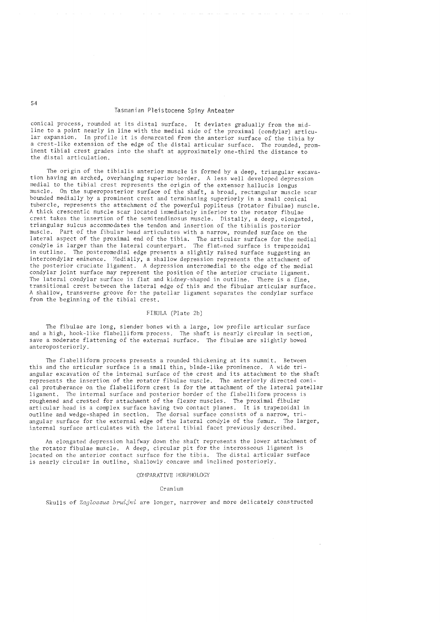conical process, rounded at its distal surface. It deviates gradually from the midline to a point nearly in line with the medial side of the proximal (condylar) articular expansion. In profile it is demarcated from the anterior surface of the tibia by a crest-like extension of the edge of the distal articular surface. The rounded, prominent tibial crest grades into the shaft at approximately one-third the distance to the distal articulation.

The origin of the tibialis anterior muscle is formed by a deep, triangular excavation having an arched, overhanging superior border. A less well developed depression medial to the tibial crest represents the origin of the extensor hallucis longus muscle. On the superoposterior surface of the shaft, a broad, rectangular muscle scar bounded medially by a prominent crest and terminating superiorly in a small conical tubercle, represents the attachment of the powerful popliteus (rotator fibulae) muscle. A thick crescentic muscle scar located immediately inferior to the rotator fibulae crest takes the insertion of the semitendinosus muscle. Distally, a deep, elongated, triangular sulcus accommodates the tendon and insertion of the tibialis posterior muscle. Part of the fibular head articulates with a narrow, rounded surface on the lateral aspect of the proximal end of the tibia. The articular surface for the medial condyle is larger than the lateral counterpart. The flatened surface is trapezoidal in outline. The posteromedial edge presents a slightly raised surface suggesting an intercondylar eminence. Medially, a shallow depression represents the attachment of the posterior cruciate ligament. A depression anteromedial to the edge of the medial condylar joint surface may represent the position of the anterior cruciate ligament. The lateral condylar surface is flat and kidney-shaped in outline. There is a fine, transitional crest between the lateral edge of this and the fibular articular surface. A shallow, transverse groove for the patellar ligament separates the condylar surface from the beginning of the tibial crest.

### FIBULA (Plate 2b)

The fibulae are long, slender bones with a large, low profile articular surface and a high, hook-like flabelliform process. The shaft is nearly circular in section, save a moderate flattening of the external surface. The fibulae are slightly bowed anteroposteriorly.

The flabelliform process presents a rounded thickening at its summit. Between this and the articular surface is a small thin, blade-like prominence. A wide triangular excavation of the internal surface of the crest and its attachment to the shaft represents the insertion of the rotator fibulae muscle. The anteriorly directed conical protuberance on the flabelliform crest is for the attachment of the lateral patellar ligament. The internal surface and posterior border of the flabelliform process is roughened and crested for attachment of the flexor muscles. The proximal fibular articular head is a complex surface having two contact planes. It is trapezoidal in outline and wedge-shaped in section. The dorsal surface consists of a narrow, triangular surface for the external edge of the lateral condyle of the femur. The larger, internal surface articulates with the lateral tibial facet previously described.

An elongated depression halfway down the shaft represents the lower attachment of the rotator fibulae muscle. A deep, circular pit for the interosseous ligament is located on the anterior contact surface for the tibia. The distal articular surface is nearly circular in outline, shallowly concave and inclined posteriorly.

#### cor4PARATIVE MORPHOLOGY

### Cranium

Skulls of *Zaglossus bruijni* are longer, narrower and more delicately constructed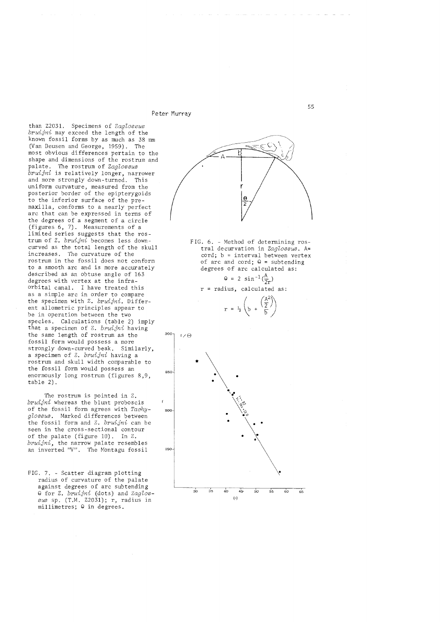than Z2031. Specimens of *Zaglossus bruijni* may exceed the length of the known fossil forms by as much as 38 mm (Van Deusen and George, 1959). The most obvious differences pertain to the shape and dimensions of the rostrum and palate. The rostrum of *Zaglossus bruijni* is relatively longer, narrower and more strongly down-turned. This uniform curvature, measured from the posterior border of the epipterygoids to the inferior surface of the premaxilla, conforms to a nearly perfect arc that can be expressed in terms of the degrees of a segment of a circle (figures 6, 7). Measurements of a limited series suggests that the rostrum of Z. *bruijni* becomes less downcurved as the total length of the skull increases. The curvature of the rostrum in the fossil does not conform to a smooth arc and is more accurately described as an obtuse angle of 163 degrees with vertex at the infraorbital canal. I have treated this as a simple arc in order to compare the specimen with Z. *bruijni.* Different allometric principles appear to be in operation between the two species. Calculations (table 2) imply that a specimen of Z. *bruijni* having the same length of rostrum as the fossil form would possess a more strongly down-curved beak. Similarly, a specimen of Z. *bruijni* having a rostrum and skull width comparable to the fossil form would possess an enormously long rostrum (figures 8,9, table 2).

The rostrum is pointed in Z. *bruijni* whereas the blunt proboscis of the fossil form agrees with *TachygZossus.* Marked differences between the fossil form and Z. *bruijni* can be seen in the cross-sectional contour of the palate (figure 10). In Z. *bruijni,* the narrow palate resembles an inverted "V". The Montagu fossil

FIG. 7. - Scatter diagram plotting radius of curvature of the palate against degrees of arc subtending Q for Z. *bruijni* (dots) and *ZagZos- sus* sp. (T.M. Z2031); r, radius in millimetres;  $\theta$  in degrees.

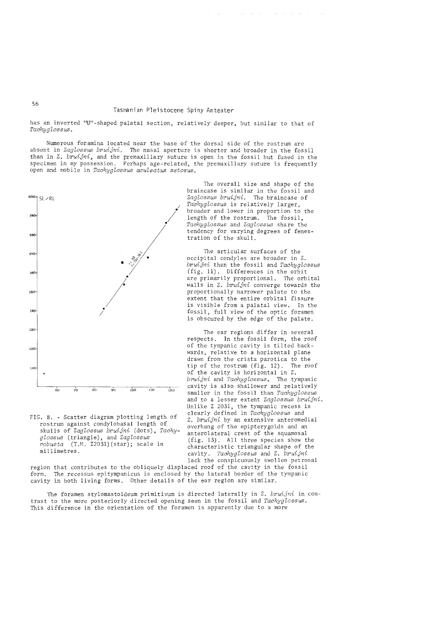has an inverted "U"-shaped palatal section, relatively deeper, but similar to that of  $Tachyglossus$ .

Numerous foramina located near the base of the dorsal side of the rostrum are absent in *Zag'loBBuB bruijni.* The nasal aperture is shorter and broader in the fossil than in Z. *bruijni,* and the premaxillary suture is open in the fossil but fused in the specimen in my possession. Perhaps age-related, the premaxillary suture is frequently open and mobile in *Tachyglossus aculeatus setosus*.



FIG. 8. - Scatter diagram plotting length of rostrum against condylobasal length of skulls of *Zaglossus bruijni* (dots), *Tachy* $glossus$  (triangle), and *Zaglossus robuBta* (T.M. Z203l)(star); scale in millimetres.

The overall size and shape of the braincase is similar in the fossil and Zaglossus bruijni. The braincase of Tachyglossus is relatively larger, broader and lower in proportion to the length of the rostrum. The fossil, *Taehyg'loBBuB* and *Zag'loBBus* share the tendency for varying degrees of fenestration of the skull.

The articular surfaces of the occipital condyles are broader in Z. *bruijni* than the fossil and *Tachyglossus* (fig. 11). Differences in the orbit are primarily proportional. The orbital walls in Z. *bruijni* converge towards the proportionally narrower palate to the extent that the entire orbital fissure<br>is visible from a palatal view. In the is visible from a palatal view. fossil, full view of the optic foramen is obscured by the edge of the palate.

The ear regions differ in several respects. In the fossil form, the roof of the tympanic cavity is tilted backwards, relative to a horizontal plane drawn from the crista parotica to the<br>tip of the rostrum (fig. 12). The roof tip of the rostrum  $(fig. 12)$ . of the cavity is horizontal in Z. *bruijni* and *Taehyg'loBBUB.* The tympanic cavity is also shallower and relatively smaller in the fossil than *Tachyglossus* and to a lesser extent *Zaglossus bruijni*. Unlike Z 2031, the tympanic recess is clearly defined in *Tachyglossus* and Z. *bruijni* by an extensive anteromedial overhang of the epipterygoids and an anterolateral crest of the squamosal (fig. 13). All three species show the characteristic triangular shape of the cavity. *Taehyg'loBBUB* and Z. *bruijni*  lack the conspicuously swollen petrosal

region that contributes to the obliquely displaced roof of the cavity in the fossil form. The recessus epitympanicus is enclosed by the lateral border of the tympanic cavity in both living forms. Other details of the ear region are similar.

The foramen stylomastoideum primitivum is directed laterally in Z. *bruijni* in contrast to the more posteriorly directed opening seen in the fossil and *Tachyglossus*. This difference in the orientation of the foramen is apparently due to a more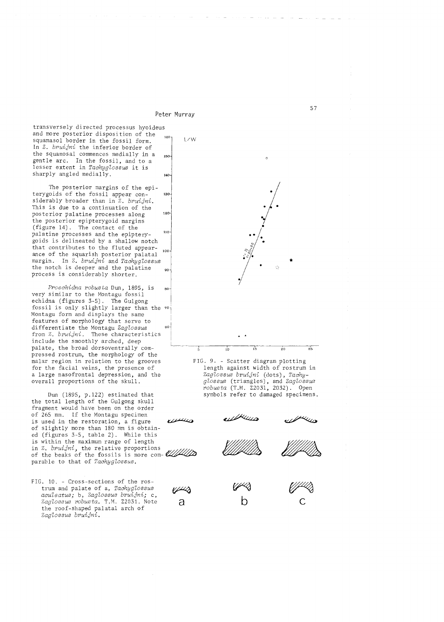transversely directed processus hyoideus and more posterior disposition of the  $160$ <br>squamesol bordor in the faccil form  $1/W$ squamasol border in the fossil form. In Z. *bruijni* the inferior border of the squamosal commences medially in a 150. gentle arc. In the fossil, and to a lesser extent in *Tachyglossus* it is sharply angled medially.  $140$ 

The posterior margins of the epiterygoids of the fossil appear con-130 siderably broader than in Z. *bruijni.*  This is due to a continuation of the 120 posterior palatine processes along the posterior epipterygoid margins (figure 14). The contact of the palatine processes and the epipterygoids is delineated by a shallow notch that contributes to the fluted appearance of the squarish posterior palatal margin. In Z. *bruijni* and *Tachyglossus*  the notch is deeper and the palatine  $90$ process is considerably shorter.

*Proechidna robusta* Dun, 1895, is 80 very similar to the Montagu fossil echidna (figures 3-5). The Gulgong fossil is only slightly larger than the 70-Montagu form and displays the same features of morphology that serve to differentiate the Montagu *Zaglossus*  60 from Z. *bruijni.* These characteristics include the smoothly arched, deep palate, the broad dorsoventrally compressed rostrum, the morphology of the malar region in relation to the grooves for the facial veins, the presence of a large nasofrontal depression, and the overall proportions of the skull.

Dun (1895, p.122) estimated that the total length of the Gulgong skull fragment would have been on the order of 265 mm. If the Montagu specimen is used in the restoration, a figure of slightly more than 180 mm is obtained (figures 3-5, table 2). While this is within the maximum range of length in Z. *bruijni*, the relative proportions parable to that of *Tachyglossus.*  ed (figures 3-5, table 2). While this<br>is within the maximum range of length<br>in Z. bruijni, the relative proportions<br>of the beaks of the fossils is more com- $\frac{1}{2}$ 

FIG. 10. - Cross-sections of the rostrum and palate of a, *Tachyglossus aculeatus;* b, *Zaglossus bruijni;* c, Zaglossus robusta. T.M. Z2031. Note the roof-shaped palatal arch of *Zaglossus bruijni.* 



FIG. 9. - Scatter diagram plotting length against width of rostrum in *Zaglossus bruijni* (dots), *Tachyglossus* (triangles), and *Zaglossus robusta* (T.M. Z2031, 2032). Open symbols refer to damaged specimens.

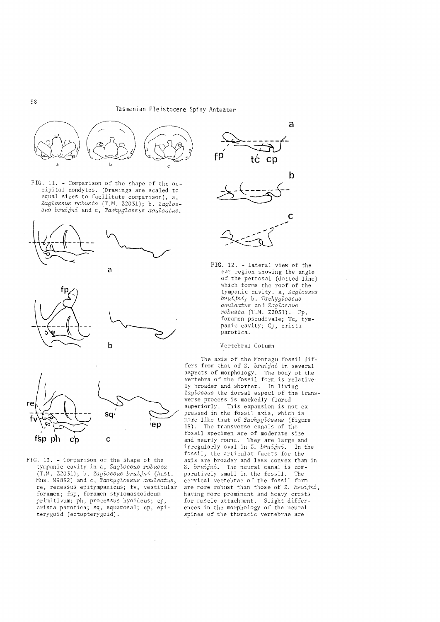

FIG. 11. - Comparison of the shape of the occipital condyles. (Drawings are scaled to equal sizes to facilitate comparison), a, *ZagZossus robusta* (T.M. Z2031); b. *ZagZos* $sus$  *bruijni* and c, *Tachyglossus aculeatus*.







FIG. 13. - Comparison of the shape of the tympanic cavity in a, *ZagZossus robusta*  (T.M. Z2031); b. *ZagZossus bruijni* (Aust. Mus. M9852) and c, *Tachyglossus aculeatus*, re, recessus epitympanicus; fv, vestibular foramen; fsp, foramen stylomastoideum primitivum; ph, processus hyoideus; cp, crista parotica; sq, squamosal; ep, epiterygoid (ectopterygoid).





FIG. 12. - Lateral view of the ear region showing the angle of the petrosal (dotted line) which forms the roof of the tympanic cavity. a, *ZagZossus*   $b$ *ruijni;* b. *Tachyglossus acuZeatus* and *ZagZossus robusta* (T.M. Z2031). Fp, foramen pseudovale; Tc, tympanic cavity; Cp, crista parotica.

# Vertebral Column

The axis of the Montagu fossil differs from that of Z. *bruijni* in several aspects of morphology. The body of the vertebra of the fossil form is relatively broader and shorter. In living *ZagZossus* the dorsal aspect of the transverse process is markedly flared superiorly. This expansion is not expressed in the fossil axis, which is more like that of *TachygZossus* (figure 15). The transverse canals of the fossil specimen are of moderate size and nearly round. They are large and irregularly oval in Z. *bruijni*. In the fossil, the articular facets for the axis are broader and less convex than in Z. *bruijni.* The neural canal is comparatively small in the fossil. cervical vertebrae of the fossil form are more robust than those of Z. *bruijni,*  having more prominent and heavy crests for muscle attachment. Slight differences in the morphology of the neural spines of the thoracic vertebrae are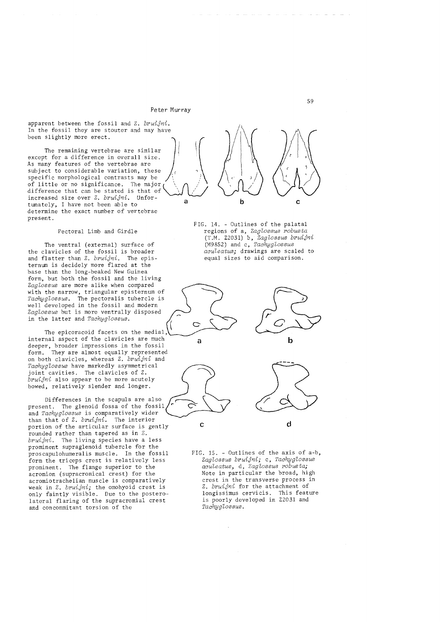apparent between the fossil and Z. *bruijni.*  In the fossil they are stouter and may have been slightly more erect.

As many features of the vertebrae are The remaining vertebrae are similar except for a difference in overall size. subject to considerable variation, these specific morphological contrasts may be \, *i*  Specific morphological contrasts may be<br>of little or no significance. The major<br>difference that can be stated is that of  $\bigcup_{\lambda}$ difference that can be stated is that of increased size over Z. *bruijni*. Unfortunately, I have not been able to a determine the exact number of vertebrae present.

Pectoral Limb and Girdle

The ventral (external) surface of the clavicles of the fossil is broader and flatter than Z. *bruijni.* The episternum is decidely more flared at the base than the long-beaked New Guinea form, but both the fossil and the living *ZagZossus* are more alike when compared with the narrow, triangular episternum of *TaahygZossus.* The pectoralis tubercle is well developed in the fossil and modern *ZagZossus* but is more ventrally disposed in the latter and *Tachyglossus*.

The epicoracoid facets on the medial, internal aspect of the clavicles are much deeper, broader impressions in the fossil form. They are almost equally represented on bQth clavicles, whereas Z. *bruijni* and *TaahygZossus* have markedly asymmetrical joint cavities. The clavicles of Z. *bruijni* also appear to be more acutely bowed, relatively slender and longer.

Differences in the scapula are also present. The glenoid fossa of the fossil and *Tachyglossus* is comparatively wider than that of Z. *bruijni.* The interior portion of the articular surface is gently rounded rather than tapered as in Z. *bruijni.* The living species have a less prominent supraglenoid tubercle for the proscapulohumeralis muscle. In the fossil form the triceps crest is relatively less prominent. The flange superior to the acromion (supracromical crest) for the acromiotrachelian muscle is comparatively weak in Z. *bruijni;* the omohyoid crest is only faintly visible. Due to the posterolateral flaring of the supracromial crest and concommitant torsion of the



FIG. 14. - Outlines of the palatal regions of a, *ZagZossus robusta*  (T.M. Z2031) b,' *ZagZossus bruijni*  (M9852) and c, *TaahygZossus aauZeatus;* drawings are scaled to equal sizes to aid comparison.









FIG. 15. - Outlines of the axis of a-b, *ZagZossus bruijni;* c, *TaahygZossus aauZeatus,* d, *ZagZossus robusta;*  Note in particular the broad, high crest in the transverse process in Z. *bruijni* for the attachment of longissimus cervicis. This feature is poorly developed in Z2031 and *TaahygZossus.*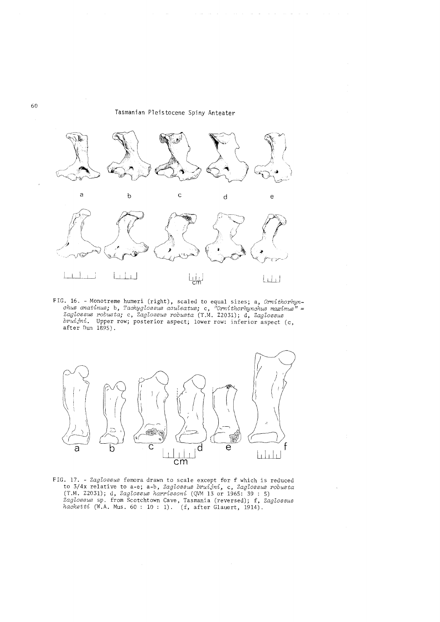

FIG. 16. - Monotreme humeri (right), scaled to equal sizes; a, *Ornithorhynahus a:natinus;* b, *Taahygtossus aauteatus;* c, *ilOrnithorhynahus maximus"* = *Zagtossus robusta;* c, *Zagtossus robusta* (T.M. Z2031); d, *Zagtossus bruijni.* Upper row; posterior aspect; lower row: inferior aspect (c, after Dun 1895).



FIG. 17. - *Zagtossus* femora drawn to scale except for f which is reduced to 3/4x relative to a-e; a-b, *Zagtossus bruijni,* c, *Zagtossus robusta*  (T.M. Z2031); d, *Zagtossus harrissoni* (QVM 13 or 1965: 39 : 5) *Zagtossus* sp. from Scotchtown Cave, Tasmania (reversed); f, *Zagtossus haaketti* (W.A. Mus. 60 : 10 : 1). (f, after Glauert, 1914):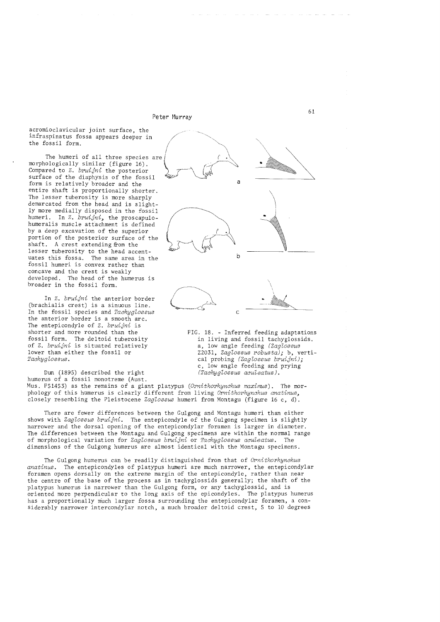acromioclavicular joint surface, the infraspinatus fossa appears deeper in the fossil form.

The humeri of all three species are morphologically similar (figure 16). Compared to z. *bruijni* the posterior surface of the diaphysis of the fossil form is relatively broader and the entire shaft is proportionally shorter. The lesser tuberosity is more sharply demarcated from the head and is slightly more medially disposed in the fossil humeri. In Z. *bruijni,* the proscapulohumeralis muscle attachment is defined by a deep excavation of the superior portion of the posterior surface of the shaft. A crest extending from the lesser tuberosity to the head accentuates this fossa. The same area in the fossil humeri is convex rather than concave and the crest is weakly developed. The head of the humerus is broader in the fossil form.

In Z. *bruijni* the anterior border (brachialis crest) is a sinuous line. In the fossil species and *Tachyglossus* the anterior border is a smooth arc. The entepicondyle of Z. *bruijni* is shorter and more rounded than the fossil form. The deltoid tuberosity of Z. *bruijni* is situated relatively lower than either the fossil or *TaehygZossus.* 

Dun (1895) described the right humerus of a fossil monotreme (Aust.

a katika kutoka <sup>1</sup> a b c

> FIG. 18. - Inferred feeding adaptations in living and fossil tachyglossids. a, low angle feeding *(ZagZossus*  Z2031, *ZagZoBsus robusta);* b, vertical probing *(ZagZossus bruijni);*  c, low angle feeding and prying *(TaehygZossus aeuZeatus).*

Mus. F51453) as the remains of a giant platypus *(Ornithorhynehus maximus).* The morphology of this humerus is clearly different from living *Ornithorhynehus anatinus,*  closely resembling the Pleistocene *ZagZossus* humeri from Montagu (figure 16 c, d).

There are fewer differences between the Gulgong and Montagu humeri than either shows with *ZagZossus bruijni.* The entepicondyle of the Gulgong specimen is slightly narrower and the dorsal opening of the entepicondylar foramen is larger in diameter. The differences between the Montagu and Gulgong specimens are within the normal range of morphological variation for *ZagZossus bruijni* or *TaehygZossus aeuZeatus.* The dimensions of the Gulgong humerus are almost identical with the Montagu specimens.

The Gulgong humerus can be readily distinguished from that of *Ornithorhynehus anatinus.* The entepicondyles of platypus humeri are much narrower, the entepicondylar foramen opens dorsally on the extreme margin of the entepicondyle, rather than near the centre of the base of the process as in tachyglossids generally; the shaft of the platypus humerus is narrower than the Gulgong form, or any tachyglossid, and is oriented more perpendicular to the long axis of the epicondyles. The platypus humerus oriented more perpendicular to the long axis of the epicondyles. has a proportionally much larger fossa surrounding the entepicondylar foramen, a considerably narrower intercondylar notch, a much broader deltoid crest, 5 to 10 degrees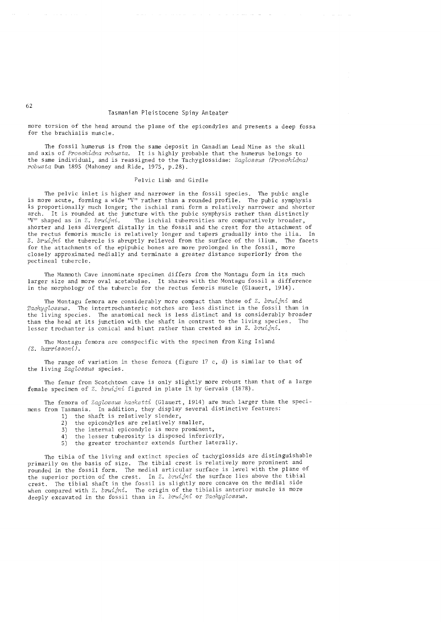more torsion of the head around the plane of the epicondyles and presents a deep fossa for the brachia1is muscle.

The fossil humerus is from the same deposit in Canadian Lead Mine as the skull and axis of *Proechidna robusta.* It is highly probable that the humerus belongs to the same individual, and is reassigned to the Tachyglossidae: *Zaglossus (Proechidna) robusta* Dun 1895 (Mahoney and Ride, 1975, p.28).

# Pelvic Limb and Girdle

The pelvic inlet is higher and narrower in the fossil species. The pubic angle is more acute, forming a wide "V" rather than a rounded profile. The pubic symphysis is proportionally much longer; the ischial rami form a relatively narrower and shorter arch. It is rounded at the juncture with the pubic symphysis rather than distinctly 'V'' shaped as in  $Z$ . bruijni. The ischial tuberosities are comparatively broader, The ischial tuberosities are comparatively broader, shorter and less divergent distally in the fossil and the crest for the attachment of the rectus femoris muscle is relatively longer and tapers gradually into the ilia. In Z. *bruijni* the tubercle is abruptly relieved from the surface of the ilium. The facets for the attachments of the epipubic bones are more prolonged in the fossil, more closely approximated medially and terminate a greater distance superiorly from the pectineal tubercle.

The Mammoth Cave innominate specimen differs from the Montagu form in its much larger size and more oval acetabulae. It shares with the Montagu fossil a difference in the morphology of the tubercle for the rectus femoris muscle (Glauert, 1914).

The Montagu femora are considerably more compact than those of Z. *bruijni* and *Tachyglossus.* The intertrochanteric notches are less distinct in the fossil than in the living species. The anatomical neck is less distinct and is considerably broader than the head at its junction with the shaft in contrast to the living species. The lesser trochanter is conical and blunt rather than crested as in Z. *bruijni.* 

The Montagu femora are conspecific with the specimen from King Island *(Z. harrissoni).* 

The range of variation in these femora (figure 17 c, d) is similar to that of the living *Zaglossus* species.

The femur from Scotchtown cave is only slightly more robust than that of a large female specimen of Z. *bruijni* figured in plate IX by Gervais (1878).

The femora of *Zaglossus hacketti* (Glauert, 1914) are much larger than the specimens from Tasmania. In addition, they display several distinctive features:

- 1) the shaft is relatively slender,<br>2) the epicondyles are relatively s
- 2) the epicondyles are relatively smaller,<br>3) the internal epicondyle is more promine
- the internal epicondyle is more prominent,
- 4) the lesser tuberosity is disposed inferiorly,
- 5) the greater trochanter extends further laterally.

The tibia of the living and extinct species of tachyglossids are distinguishable primarily on the basis of size. The tibial crest is relatively more prominent and rounded in the fossil form. The medial articular surface is level with the plane of the superior portion of the crest. In Z. *bruijni* the surface lies above the tibial crest. The tibial shaft in the fossil is slightly more concave on the medial side when compared with Z. *bruijni.* The origin of the tibialis anterior muscle is more deeply excavated in the fossil than in Z. *bruijni* or *Tachyglossus*.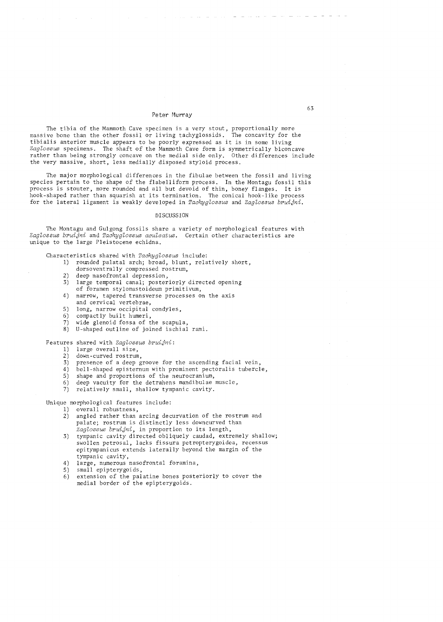The tibia of the Mammoth Cave specimen is a very stout, proportionally more massive bone than the other fossil or living tachyglossids. The concavity for the tibialis anterior muscle appears to be poorly expressed as it is in some living *ZagloBBuB* specimens. The shaft of the Mammoth Cave form is symmetrically biconcave rather than being strongly concave on the medial side only. Other differences include the very massive, short, less mediallY disposed styloid process.

The major morphological differences in the fibulae between the fossil and living species pertain to the shape of the flabelliform process. In the Montagu fossil this process is stouter, more rounded and all but devoid of thin, boney flanges. It is hook-shaped rather than squarish at its termination. The conical hook-like process for the lateral ligament is weakly developed in *Tachyglossus* and *Zaglossus bruijni*.

### DISCUSSION

The Montagu and Gulgong fossils share a variety of morphological features with *ZagloBBuB bruijni* and *TachygloBBuB aculeatuB.* Certain other characteristics are unique to the large Pleistocene echidna.

Characteristics shared with *Tachyglossus* include:

- 1) rounded palatal arch; broad, blunt, relatively short,
- dorsoventrally compressed rostrum,
- 2) deep nasofrontal depression,<br>3) large temporal canal; poster large temporal canal; posteriorly directed opening of foramen stylomastoideum primitivum,
- 4) narrow, tapered transverse processes on the axis and cervical vertebrae,
- 5) long, narrow occipital condyles,
- 
- 6) compactly built humeri,<br>7) wide glenoid fossa of t wide glenoid fossa of the scapula,
- 8) U-shaped outline of joined ischial rami.

Features shared with *Zaglossus bruijni*:

- 1) large overall size,
- 2) down-curved rostrum,
- 3) presence of a deep groove for the ascending facial vein,
- 4) bell-shaped episternum with prominent pectoralis tubercle,
- 5) shape and proportions of the neurocranium,
- 6) deep vacuity for the detrahens mandibulae muscle,
- 7) relatively small, shallow tympanic cavity.

Unique morphological features include:

- 1) overall robustness,<br>2) angled rather than
- angled rather than arcing decurvation of the rostrum and palate; rostrum is distinctly less downcurved than Zaglossus bruijni, in proportion to its length,
- 3) tympanic cavity directed obliquely caudad, extremely shallow; swollen petrosal, lacks fissura petropterygoidea, recessus epitympanicus extends laterally beyond the margin of the tympanic cavity,
- 4) large, numerous nasofrontal foramina,<br>5) small epipterygoids,
- 5) small epipterygoids,<br>6) extension of the pal
- extension of the palatine bones posteriorly to cover the medial border of the epipterygoids.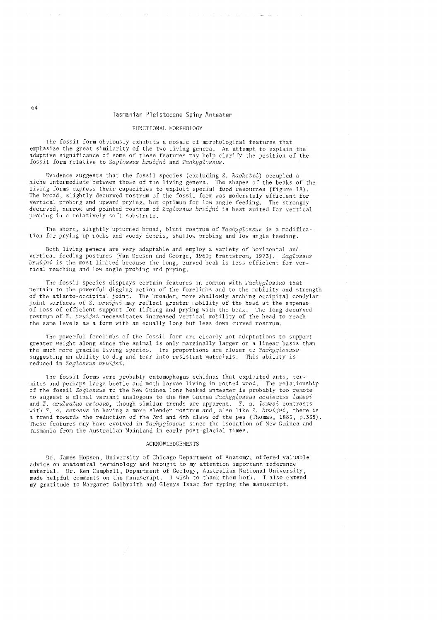### FUNCTIONAL MORPHOLOGY

The fossil form obviously exhibits a mosaic of morphological features that emphasize the great similarity of the two living genera. An attempt to explain the adaptive significance of some of these features may help clarify the position of the fossil form relative to *Zaglossus bruijni* and *Tachyglossus.* 

Evidence suggests that the fossil species (excluding Z. *hacketti)* occupied a niche intermediate between those of the living genera. The shapes of the beaks of the<br>living forms express their capacities to exploit special food resources (figure 18). The broad, slightly decurved rostrum of the fossil form was moderately efficient for vertical probing and upward prying, but optimum for low angle feeding. The strongly decurved, narrow and pointed rostrum of *Zaglossus bruijni* is best suited for vertical probing in a relatively soft substrate.

The short, slightly upturned broad, blunt rostrum of *Tachyglossus* is a modification for prying up rocks and woody debris, shallow probing and low angle feeding.

Both living genera are very adaptable and employ a variety of horizontal and vertical feeding postures (Van Deusen and George, 1969; Brattstrom, 1973). *Zaglossus bruijni* is the most limited because the long, curved beak is less efficient for vertical reaching and low angle probing and prying.

The fossil species displays certain features in common with *Tachyglossus* that pertain to the powerful digging action of the forelimbs and to the mobility and strength of the atlanto-occipital joint. The broader, more shallowly arching occipital condylar joint surfaces of Z. *bruijni* may reflect greater mobility of the head at the expense of loss of efficient support for lifting and prying with the beak. The long decurved rostrum of Z. *bruijni* necessitates increased vertical mobility of the head to reach the same levels as a form with an equally long but less down curved rostrum.

The powerful forelimbs of the fossil form are clearly not adaptations to support greater weight along since the animal is only marginally larger on a linear basis than the much more gracile living species. Its proportions are closer to *Tachyglossus*  suggesting an ability to dig and tear into resistant materials. This ability is reduced in *Zaglossus bruijni.* 

The fossil forms were probably entomophagus echidnas that exploited ants, termites and perhaps large beetle and moth larvae living in rotted wood. The relationship of the fossil *Zaglossus* to the New Guinea long beaked anteater is probably too remote to suggest a clinal variant analogous to the *New* Guinea *Tachyglossus aculeatus lcauesi*  and *T. aculeatus setosus,* though similar trends are apparent. *T. a. lcauesi* contrasts with *T. a. setosus* in having a more slender rostrum and, also like Z. *bruijni,* there is a trend towards the reduction of the 3rd and 4th claws of the pes (Thomas, 1885, p. 338) . These features may have evolved in *Tachyglossus* since the isolation of New Guinea and Tasmania from the Australian Mainland in early post-glacial times.

### ACKNOWLEDGEMENTS

Dr. James Hopson, University of Chicago Department of Anatomy, offered valuable advice on anatomical terminology and brought to my attention important reference material. Dr. Ken Campbell, Department of Geology, Australian National University, made helpful comments on the manuscript. I wish to thank them both. I also extend my gratitude to Margaret Galbraith and Glenys Isaac for typing the manuscript.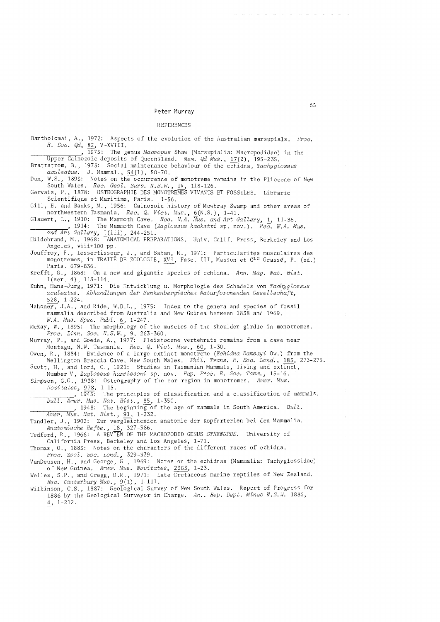#### REFERENCES

Bartholomai, A., 1972: Aspects of the evolution of the Australian marsupials. *Proc. R. Soc. Qd,* 82, V-XVIII.<br> **\_\_\_\_\_\_\_\_\_\_\_\_\_\_\_**, 1975: The genus *Macropus* Shaw (Marsupialia: Macropodidae) in the Upper Cainozoic deposits of Queensland. *Mem. Qd Mus.*, 17(2), 195-235. Brattstrom, B., 1973: Social maintenance behaviour of the echidna, *Tachyglossus aculeatus.* J. Mammal., 54 (1), 50-70. Dun, W.S., 1895: Notes on the occurrence of monotreme remains in the Pliocene of New South Wales. *Rec. Geol. Surv. N.S.W.,* IV, 118-126. Gervais, P., 1878: OSTEOGRAPHIE DES MONOTREMES VIVANTS ET FOSSILES. Librarie Scientifique et Maritime, Paris. 1-56. Gill, E. and Banks, M., 1956: Cainozoic history of Mowbray Swamp and other areas of northwestern Tasmania. *Rec. Q. Vict. Mus.,* 6(N.S.), 1-41. Glauert, L., 1910: The Mammoth Cave. *Rec. W.A. Mus. and Art Gallery*, 1, 11-36.<br>
1914: The Mammoth Cave *(Zaglossus hacketti* sp. nov.). *Rec. W.A. Mus.*<br>
2014: The Mammoth Cave *(Zaglossus hacketti* sp. nov.). *Rec. W.A. and Art Gallery,* I(iii), 244-251. Hildebrand, M., 1968: -ANATOMICAL PREPARATIONS. Univ. Calif. Press, Berkeley and Los Angeles, viii+100 pp. Jouffroy, F., Lessertisseur, J., and Saban, R., 1971: Particularites musculaires des monotremes, in TRAITÉ DE ZOOLOGIE, XVI, Fasc. III, Masson et C<sup>ie</sup> Grasse, P. (ed.) Paris. 679-836. Krefft, G., 1868: On a new and gigantic species of echidna. *Ann. Mag. Nat. Hist.*   $I(ser. 4), 113-114.$ Kuhn,-Hans-Jurg, 1971: Die Entwicklung u. Morphologie des Schadels von *Tachyglossus aculeatus. Abhandlungen der Senkenbergischen Naturforchenden GeseZZschaft,*  528, 1-224. Mahoney, J.A., and Ride, W.D.L., 1975: Index to the genera and species of fossil mammalia described from Australia and New Guinea between 1838 and 1969. *W.A. Mus. Spec. PubZ.* 6, 1-247. McKay, W., 1895: The morphology of the muscles of the shoulder girdle in monotremes. *Proc. Linn. Soc. N.S.W.,* 9, 263-360. Murray, P., and Goede, A., 1977: Pleistocene vertebrate remains from a cave near Montagu, N.W. Tasmania. *Rec. Q. Vict. Mus.,* 60, 1-30. Owen, R., 1884: Evidence of a large extinct monotreme *(Echidna Ramsayi* Ow.) from the Wellington Breccia Cave, New South Wales. *PhiZ. Trans. R. Soc. Lond.,* 185, 273-275. Scott, H., and Lord, C., 1921: Studies in Tasmanian Mammals, living and extinct, Number V, *Zaglossus harrissoni* sp. nov. *Pap. Proc. R. Soc. Tasm., 15-16.*  Simpson, G.G., 1938: Osteography of the ear region in monotremes. *Amer. Mus. Novitates,* 978, 1-15. ,1945: The principles of classification and a classification of mammals. *----BuZZ. Amer. Mus. Nat. Hist.,* 85, 1-350. ,1948: The beginning-of the age of mammals in South America. *BulZ. --A;;-m-e-:-r.----;-;M,-us. Nat. Hist.,* 91, 1-232. Tandler, J., 1902: Zur vergleichenden anatomie der Kopfarterien bei den Mammalia. *Anatomische Hefte.,* 18, 327-386. Tedford, R., 1966: A REVIEW OF THE MACROPODID GENUS *STHENURUS.* University of California Press, Berkeley and Los Angeles, 1-71. Thomas, 0., 1885: Notes on the characters of the different races of echidna. *Proc. ZooZ. Soc. Lond., 329-339.*  VanDeusen, H., and George, G., 1969: Notes on the echidnas (Mammalia: Tachyglossidae) of New Guinea. *Amer. Mus. Novitates,* 2383, 1-23. Welles, S.P., and Gregg, D.R., 1971: Late Cretaceous marine reptiles of New Zealand. *Rec. Canterbury Mus.,* 9(1), 1-111. Wilkinson, C.S., 1887: Geological Survey of New South Wales. Report of Progress for 1886 by the Geological Surveyor in Charge. *An .. Rep. Dept. Mines N.S.W. 1886,*   $4, 1-212.$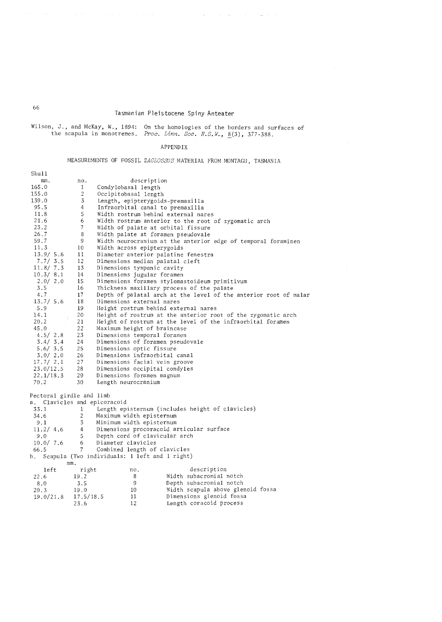Wilson, J., and McKay, W., 1894: , J., and McKay, W., 1894: On the homologies of the borders and surfaces of the scapula in monotremes. *Proc. Linn. Soc. N.S.W.*, 8(3), 377-388. Proc. Linn. Soc. N.S.W., 8(3), 377-388.

# APPENDIX

# MEASUREMENTS OF FOSSIL ZAGLOSSUS MATERIAL FROM MONTAGU, TASMANIA

| Sku11                        |                |                                                                  |
|------------------------------|----------------|------------------------------------------------------------------|
| mm.                          | no.            | description                                                      |
| 165.0                        | $\mathbf{1}$   | Condylobasal length                                              |
| 155.0                        | 2              | Occipitobasal length                                             |
| 139.0                        | 3              | Length, epipterygoids-premaxilla                                 |
| 95.5                         | 4              | Infraorbital canal to premaxilla                                 |
| 11.8                         | 5              | Width rostrum behind external nares                              |
| 21.6                         | 6              | Width rostrum anterior to the root of zygomatic arch             |
| 23.2                         | $\overline{7}$ | Width of palate at orbital fissure                               |
| 26.7                         | 8              | Width palate at foramen pseudovale                               |
| 59.7                         | 9              | Width neurocranium at the anterior edge of temporal foraminen    |
| 11.3                         | 10             | Width across epipterygoids                                       |
| 13.9 / 5.6                   | 11             | Diameter anterior palatine fenestra                              |
| 7.7 / 3.5                    | 12             | Dimensions median palatal cleft                                  |
| 11.8/7.3                     | 13             | Dimensions tympanic cavity                                       |
| 10.3/8.1                     | 14             | Dimensions jugular foramen                                       |
| 2.0 / 2.0                    | 15             | Dimensions foramen stylomastoideum primitivum                    |
| 3.5                          | 16             | Thickness maxillary process of the palate                        |
| 4.7                          | 17             | Depth of palatal arch at the level of the anterior root of malar |
| 13.7 / 5.6                   | 18             | Dimensions external nares                                        |
| 5.9                          | 19             | Height rostrum behind external nares                             |
| 14.1                         | 20             | Height of rostrum at the anterior root of the zygomatic arch     |
| 20.2                         | 21             | Height of rostrum at the level of the infraorbital foramen       |
| 45.0                         | 22             | Maximum height of braincase                                      |
| 4.5 / 2.8                    | 23             | Dimensions temporal foramen                                      |
| 3.4/3.4                      | 24             | Dimensions of foramen pseudovale                                 |
| 5.6 / 3.5                    | 25             | Dimensions optic fissure                                         |
| 3.0 / 2.0                    | 26             | Dimensions infraorbital canal                                    |
| 17.7 / 2.1                   | 27             | Dimensions facial vein groove                                    |
| 23.0/12.5                    | 28             | Dimensions occipital condyles                                    |
| 22.1/18.3                    | 29             | Dimensions foramen magnum                                        |
| 70.2                         | 30             | Length neurocranium                                              |
| Pectoral girdle and limb     |                |                                                                  |
| a. Clavicles and epicoracoid |                |                                                                  |
| 33.1                         | 1              | Length episternum (includes height of clavicles)                 |
| 34.6                         | $\overline{c}$ | Maximum width episternum                                         |
| 9.1                          | 3              | Minimum width episternum                                         |
| 11.2/ 4.6                    | $4 -$          | Dimensions procoracoid articular surface                         |
| 9.0                          | 5 <sup>1</sup> | Depth cord of clavicular arch                                    |
| 10.0 / 7.6                   | 6              | Diameter clavicles                                               |
| 66.5                         | 7              | Combined length of clavicles                                     |
| b.                           |                | Scapula (Two individuals: 1 left and 1 right)                    |
| mm.                          |                |                                                                  |
| 1eft                         | right          | description<br>no.                                               |
| 22.6                         | 19.2           | Width subacromial notch<br>8                                     |
| 8.0                          | 3.5            | 9<br>Depth subacromial notch                                     |
| 20.3                         | 19.0           | Width scapula above glenoid fossa<br>10                          |
| 19.0/21.8                    | 17.5/18.5      | Dimensions glenoid fossa<br>11                                   |
|                              | 23.6           | 12<br>Length coracoid process                                    |
|                              |                |                                                                  |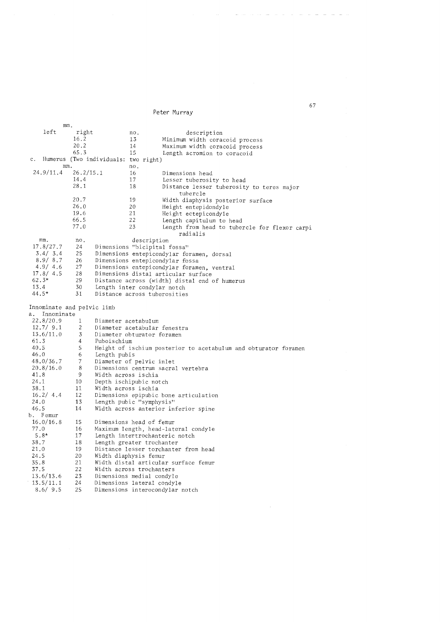mm. left right 16.2 20.2 65.3 no. 13  $\frac{14}{15}$ 15 c. Humerus (Two individuals: two right)  $\frac{mn}{24.9/11.4}$  $26.2/15.1$ 14.4 28.1 no. 16 17 18 description Minimum width coracoid process Maximum width coracoid process Length acromion to coracoid Dimensions head Lesser tuberosity to head Distance lesser tuberosity to teres major tubercle Width diaphysis posterior surface Height entepidondy1e Height ectepicondyle Length capitulum to head 20.7 26.0 19.6 66.5 77 .0 19 20 21 22 Length from head to tubercle for flexor carpi<br>radialis radialis mm. no. description 17.8/27.7 3.4/ 3.4 8.9/ 8.7 4.9/ 4.6 17.8/ 4.5 62.3\* 13.4 44.5\* 24 Dimensions "bicipital fossa"<br>25 Dimensions entepicondylar fo 25 Dimensions entepicondylar foramen, dorsal<br>26 Dimensions entepicondylar fossa 26 Dimensions entepicondy1ar fossa<br>27 Dimensions entepicondy1ar foram 27 Dimensions entepicondylar foramen, ventral<br>28 Dimensions distal articular surface 28 Dimensions distal articular surface<br>29 Distance across (width) distal end 29 Distance across (width) distal end of humerus 30 Length inter condylar notch<br>31 Distance across tuberositie Distance across tuberosities Innominate and pelvic limb a. Innominate 22.8/20.9 12.7/ 9.1 13.6/11.0 61. 3 40.5 46.0 48.0/36.7 20.8/16.0 41. 8 24.1 38.1 16.2/ 4.4 24.0 46.5 b. Femur 16.0/16.8 77.0 5.8\* 38.7 21.0 24.5 35.8 37.5 13.6/13.6 13.5/11.1 8.6/ 9.5 1 2 3 4 5 6 7 8 9 10 11 12 13 14 15 16 17 18 19 20 21 22 23 24 25 Diameter acetabulum Diameter acetabular fenestra Diameter obturator foramen Puboischium Height of ischium posterior to acetabulum and obturator foramen Length pubis Diameter of pelvic inlet Dimensions centrum sacral vertebra Width across ischia Depth ischipubic notch Width across ischia Dimensions epipubic bone articulation Length pubic "symphysis" Width across anterior inferior spine Dimensions head of femur Maximum length, head-lateral condyle Length intertrochanteric notch Length greater trochanter Distance lesser torchanter from head Width diaphysis femur Width distal articular surface femur Width across trochanters Dimensions medial condyle Dimensions lateral condyle Dimensions interocondylar notch